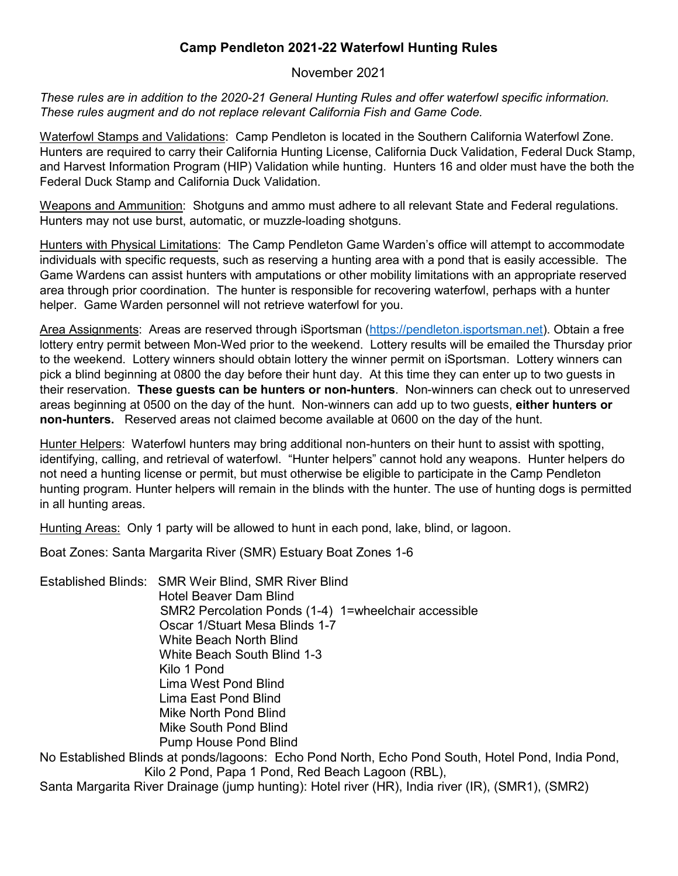## **Camp Pendleton 2021-22 Waterfowl Hunting Rules**

## November 2021

*These rules are in addition to the 2020-21 General Hunting Rules and offer waterfowl specific information. These rules augment and do not replace relevant California Fish and Game Code.* 

Waterfowl Stamps and Validations: Camp Pendleton is located in the Southern California Waterfowl Zone. Hunters are required to carry their California Hunting License, California Duck Validation, Federal Duck Stamp, and Harvest Information Program (HIP) Validation while hunting. Hunters 16 and older must have the both the Federal Duck Stamp and California Duck Validation.

Weapons and Ammunition: Shotguns and ammo must adhere to all relevant State and Federal regulations. Hunters may not use burst, automatic, or muzzle-loading shotguns.

Hunters with Physical Limitations: The Camp Pendleton Game Warden's office will attempt to accommodate individuals with specific requests, such as reserving a hunting area with a pond that is easily accessible. The Game Wardens can assist hunters with amputations or other mobility limitations with an appropriate reserved area through prior coordination. The hunter is responsible for recovering waterfowl, perhaps with a hunter helper. Game Warden personnel will not retrieve waterfowl for you.

Area Assignments: Areas are reserved through iSportsman [\(https://pendleton.isportsman.net\)](https://pendleton.isportsman.net/). Obtain a free lottery entry permit between Mon-Wed prior to the weekend. Lottery results will be emailed the Thursday prior to the weekend. Lottery winners should obtain lottery the winner permit on iSportsman. Lottery winners can pick a blind beginning at 0800 the day before their hunt day. At this time they can enter up to two guests in their reservation. **These guests can be hunters or non-hunters**. Non-winners can check out to unreserved areas beginning at 0500 on the day of the hunt. Non-winners can add up to two guests, **either hunters or non-hunters.** Reserved areas not claimed become available at 0600 on the day of the hunt.

Hunter Helpers: Waterfowl hunters may bring additional non-hunters on their hunt to assist with spotting, identifying, calling, and retrieval of waterfowl. "Hunter helpers" cannot hold any weapons. Hunter helpers do not need a hunting license or permit, but must otherwise be eligible to participate in the Camp Pendleton hunting program. Hunter helpers will remain in the blinds with the hunter. The use of hunting dogs is permitted in all hunting areas.

Hunting Areas: Only 1 party will be allowed to hunt in each pond, lake, blind, or lagoon.

Boat Zones: Santa Margarita River (SMR) Estuary Boat Zones 1-6

Established Blinds: SMR Weir Blind, SMR River Blind Hotel Beaver Dam Blind SMR2 Percolation Ponds (1-4) 1=wheelchair accessible Oscar 1/Stuart Mesa Blinds 1-7 White Beach North Blind White Beach South Blind 1-3 Kilo 1 Pond Lima West Pond Blind Lima East Pond Blind Mike North Pond Blind Mike South Pond Blind Pump House Pond Blind No Established Blinds at ponds/lagoons: Echo Pond North, Echo Pond South, Hotel Pond, India Pond,

Kilo 2 Pond, Papa 1 Pond, Red Beach Lagoon (RBL), Santa Margarita River Drainage (jump hunting): Hotel river (HR), India river (IR), (SMR1), (SMR2)